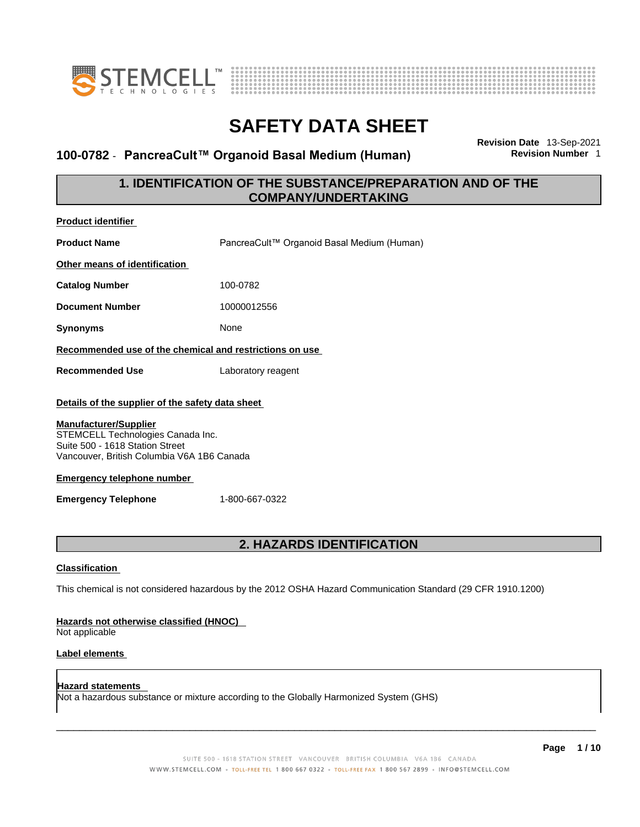



### **100-0782 · PancreaCult™ Organoid Basal Medium (Human)**

**Revision Date** 13-Sep-2021

### **1. IDENTIFICATION OF THE SUBSTANCE/PREPARATION AND OF THE COMPANY/UNDERTAKING**

| <b>Product identifier</b>                                                                                                                                                                                                                                                                   |                                            |  |
|---------------------------------------------------------------------------------------------------------------------------------------------------------------------------------------------------------------------------------------------------------------------------------------------|--------------------------------------------|--|
| <b>Product Name</b>                                                                                                                                                                                                                                                                         | PancreaCult™ Organoid Basal Medium (Human) |  |
| Other means of identification                                                                                                                                                                                                                                                               |                                            |  |
| <b>Catalog Number</b>                                                                                                                                                                                                                                                                       | 100-0782                                   |  |
| <b>Document Number</b>                                                                                                                                                                                                                                                                      | 10000012556                                |  |
| <b>Synonyms</b>                                                                                                                                                                                                                                                                             | None                                       |  |
| Recommended use of the chemical and restrictions on use                                                                                                                                                                                                                                     |                                            |  |
| <b>Recommended Use</b>                                                                                                                                                                                                                                                                      | Laboratory reagent                         |  |
| Details of the supplier of the safety data sheet<br><b>Manufacturer/Supplier</b><br>STEMCELL Technologies Canada Inc.<br>Suite 500 - 1618 Station Street<br>Vancouver, British Columbia V6A 1B6 Canada<br><b>Emergency telephone number</b><br><b>Emergency Telephone</b><br>1-800-667-0322 |                                            |  |
| 2. HAZARDS IDENTIFICATION                                                                                                                                                                                                                                                                   |                                            |  |
| <b>Classification</b><br>This chemical is not considered hazardous by the 2012 OSHA Hazard Communication Standard (29 CFR 1910.1200)<br>Hazards not otherwise classified (HNOC)                                                                                                             |                                            |  |

Not applicable

### **Label elements**

**Hazard statements**  Not a hazardous substance or mixture according to the Globally Harmonized System (GHS)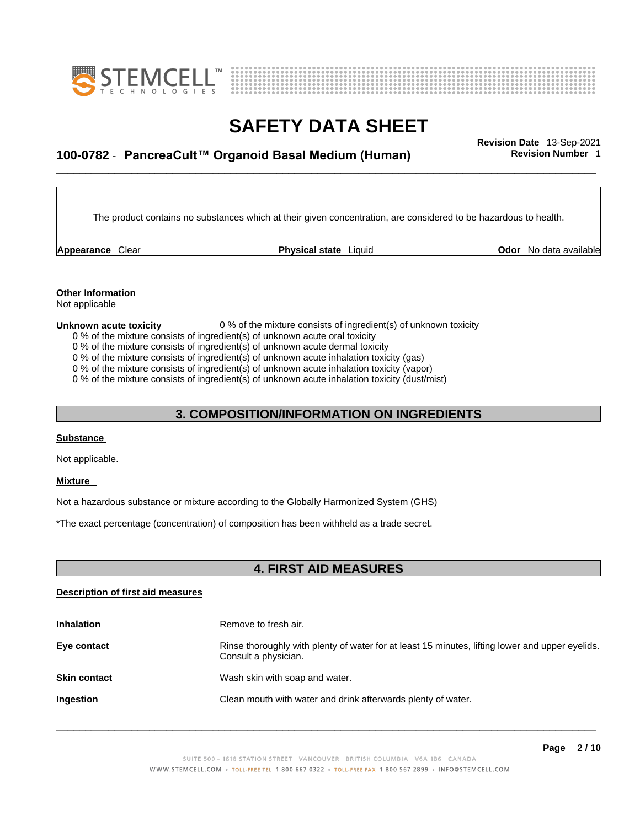



## \_\_\_\_\_\_\_\_\_\_\_\_\_\_\_\_\_\_\_\_\_\_\_\_\_\_\_\_\_\_\_\_\_\_\_\_\_\_\_\_\_\_\_\_\_\_\_\_\_\_\_\_\_\_\_\_\_\_\_\_\_\_\_\_\_\_\_\_\_\_\_\_\_\_\_\_\_\_\_\_\_\_\_\_\_\_\_\_\_\_\_\_\_ **Revision Date** 13-Sep-2021 **100-0782** - **PancreaCult™ Organoid Basal Medium (Human) Revision Number** 1

The product contains no substances which at their given concentration, are considered to be hazardous to health.

**Appearance** Clear **Physical state** Liquid

**Odor** No data available

**Other Information**  Not applicable

#### **Unknown acute toxicity** 0 % of the mixture consists of ingredient(s) of unknown toxicity

0 % of the mixture consists of ingredient(s) of unknown acute oral toxicity

0 % of the mixture consists of ingredient(s) of unknown acute dermal toxicity

0 % of the mixture consists of ingredient(s) of unknown acute inhalation toxicity (gas)

0 % of the mixture consists of ingredient(s) of unknown acute inhalation toxicity (vapor)

0 % of the mixture consists of ingredient(s) of unknown acute inhalation toxicity (dust/mist)

### **3. COMPOSITION/INFORMATION ON INGREDIENTS**

#### **Substance**

Not applicable.

#### **Mixture**

Not a hazardous substance or mixture according to the Globally Harmonized System (GHS)

\*The exact percentage (concentration) of composition has been withheld as a trade secret.

### **4. FIRST AID MEASURES**

#### **Description of first aid measures**

| <b>Inhalation</b>   | Remove to fresh air.                                                                                                    |
|---------------------|-------------------------------------------------------------------------------------------------------------------------|
| Eye contact         | Rinse thoroughly with plenty of water for at least 15 minutes, lifting lower and upper eyelids.<br>Consult a physician. |
| <b>Skin contact</b> | Wash skin with soap and water.                                                                                          |
| Ingestion           | Clean mouth with water and drink afterwards plenty of water.                                                            |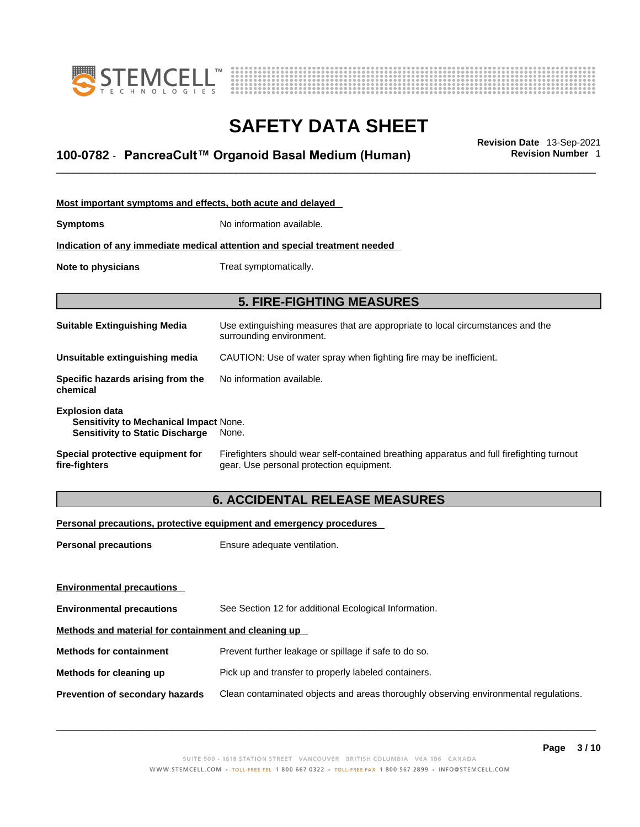



## \_\_\_\_\_\_\_\_\_\_\_\_\_\_\_\_\_\_\_\_\_\_\_\_\_\_\_\_\_\_\_\_\_\_\_\_\_\_\_\_\_\_\_\_\_\_\_\_\_\_\_\_\_\_\_\_\_\_\_\_\_\_\_\_\_\_\_\_\_\_\_\_\_\_\_\_\_\_\_\_\_\_\_\_\_\_\_\_\_\_\_\_\_ **Revision Date** 13-Sep-2021 **100-0782** - **PancreaCult™ Organoid Basal Medium (Human) Revision Number** 1

| Most important symptoms and effects, both acute and delayed                                                      |                                                                                                                                       |  |
|------------------------------------------------------------------------------------------------------------------|---------------------------------------------------------------------------------------------------------------------------------------|--|
| Symptoms                                                                                                         | No information available.                                                                                                             |  |
| Indication of any immediate medical attention and special treatment needed                                       |                                                                                                                                       |  |
| Note to physicians                                                                                               | Treat symptomatically.                                                                                                                |  |
|                                                                                                                  |                                                                                                                                       |  |
|                                                                                                                  | <b>5. FIRE-FIGHTING MEASURES</b>                                                                                                      |  |
| Suitable Extinguishing Media                                                                                     | Use extinguishing measures that are appropriate to local circumstances and the<br>surrounding environment.                            |  |
| Unsuitable extinguishing media                                                                                   | CAUTION: Use of water spray when fighting fire may be inefficient.                                                                    |  |
| Specific hazards arising from the<br>chemical                                                                    | No information available.                                                                                                             |  |
| <b>Explosion data</b><br><b>Sensitivity to Mechanical Impact None.</b><br><b>Sensitivity to Static Discharge</b> | None.                                                                                                                                 |  |
| Special protective equipment for<br>fire-fighters                                                                | Firefighters should wear self-contained breathing apparatus and full firefighting turnout<br>gear. Use personal protection equipment. |  |

### **6. ACCIDENTAL RELEASE MEASURES**

### **Personal precautions, protective equipment and emergency procedures**

| <b>Personal precautions</b>                          | Ensure adequate ventilation.                                                         |  |
|------------------------------------------------------|--------------------------------------------------------------------------------------|--|
| <b>Environmental precautions</b>                     |                                                                                      |  |
| <b>Environmental precautions</b>                     | See Section 12 for additional Ecological Information.                                |  |
| Methods and material for containment and cleaning up |                                                                                      |  |
| <b>Methods for containment</b>                       | Prevent further leakage or spillage if safe to do so.                                |  |
| Methods for cleaning up                              | Pick up and transfer to properly labeled containers.                                 |  |
| <b>Prevention of secondary hazards</b>               | Clean contaminated objects and areas thoroughly observing environmental regulations. |  |
|                                                      |                                                                                      |  |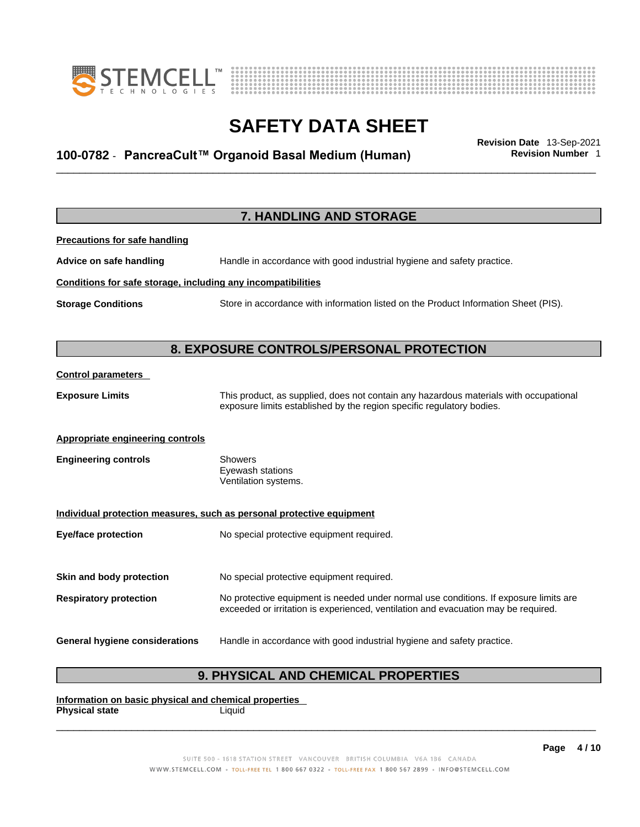



## \_\_\_\_\_\_\_\_\_\_\_\_\_\_\_\_\_\_\_\_\_\_\_\_\_\_\_\_\_\_\_\_\_\_\_\_\_\_\_\_\_\_\_\_\_\_\_\_\_\_\_\_\_\_\_\_\_\_\_\_\_\_\_\_\_\_\_\_\_\_\_\_\_\_\_\_\_\_\_\_\_\_\_\_\_\_\_\_\_\_\_\_\_ **Revision Date** 13-Sep-2021 **100-0782** - **PancreaCult™ Organoid Basal Medium (Human) Revision Number** 1

|                                                              | 7. HANDLING AND STORAGE                                                                                                                                                     |
|--------------------------------------------------------------|-----------------------------------------------------------------------------------------------------------------------------------------------------------------------------|
| <b>Precautions for safe handling</b>                         |                                                                                                                                                                             |
| Advice on safe handling                                      | Handle in accordance with good industrial hygiene and safety practice.                                                                                                      |
| Conditions for safe storage, including any incompatibilities |                                                                                                                                                                             |
| <b>Storage Conditions</b>                                    | Store in accordance with information listed on the Product Information Sheet (PIS).                                                                                         |
|                                                              | 8. EXPOSURE CONTROLS/PERSONAL PROTECTION                                                                                                                                    |
| <b>Control parameters</b>                                    |                                                                                                                                                                             |
| <b>Exposure Limits</b>                                       | This product, as supplied, does not contain any hazardous materials with occupational<br>exposure limits established by the region specific regulatory bodies.              |
| <b>Appropriate engineering controls</b>                      |                                                                                                                                                                             |
| <b>Engineering controls</b>                                  | <b>Showers</b><br>Eyewash stations<br>Ventilation systems.                                                                                                                  |
|                                                              | Individual protection measures, such as personal protective equipment                                                                                                       |
| <b>Eye/face protection</b>                                   | No special protective equipment required.                                                                                                                                   |
| Skin and body protection                                     | No special protective equipment required.                                                                                                                                   |
| <b>Respiratory protection</b>                                | No protective equipment is needed under normal use conditions. If exposure limits are<br>exceeded or irritation is experienced, ventilation and evacuation may be required. |
| <b>General hygiene considerations</b>                        | Handle in accordance with good industrial hygiene and safety practice.                                                                                                      |

### **9. PHYSICAL AND CHEMICAL PROPERTIES**

**Information on basic physical and chemical properties Physical state** Liquid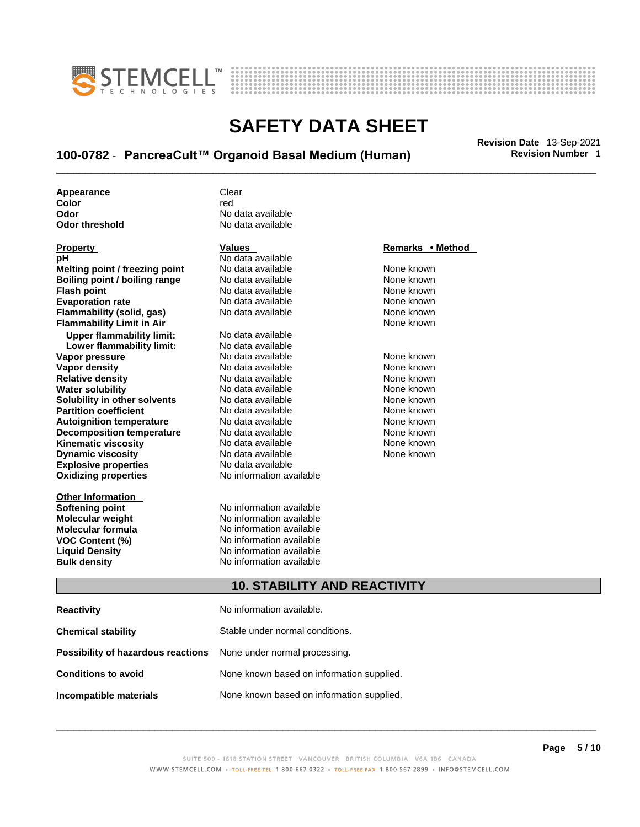



## \_\_\_\_\_\_\_\_\_\_\_\_\_\_\_\_\_\_\_\_\_\_\_\_\_\_\_\_\_\_\_\_\_\_\_\_\_\_\_\_\_\_\_\_\_\_\_\_\_\_\_\_\_\_\_\_\_\_\_\_\_\_\_\_\_\_\_\_\_\_\_\_\_\_\_\_\_\_\_\_\_\_\_\_\_\_\_\_\_\_\_\_\_ **Revision Date** 13-Sep-2021 **100-0782** - **PancreaCult™ Organoid Basal Medium (Human) Revision Number** 1

| Appearance     | Clear             |
|----------------|-------------------|
| Color          | red               |
| Odor           | No data available |
| Odor threshold | No data available |

| Property                             |
|--------------------------------------|
| рH                                   |
| Melting point / freezing point       |
| <b>Boiling point / boiling range</b> |
| <b>Flash point</b>                   |
| <b>Evaporation rate</b>              |
| Flammability (solid, gas)            |
| <b>Flammability Limit in Air</b>     |
| <b>Upper flammability limit:</b>     |
| Lower flammability limit:            |
| Vapor pressure                       |
| <b>Vapor density</b>                 |
| <b>Relative density</b>              |
| <b>Water solubility</b>              |
| Solubility in other solvents         |
| <b>Partition coefficient</b>         |
| <b>Autoignition temperature</b>      |
| <b>Decomposition temperature</b>     |
| <b>Kinematic viscosity</b>           |
| <b>Dynamic viscosity</b>             |
| <b>Explosive properties</b>          |
| <b>Oxidizing properties</b>          |
|                                      |

**Other Information** 

## **No data available**

**Explosive properties** No data available **Oxidizing properties** No information available **Moltinga and** *Melting* **and the Mone known<br>
<b>Molting point** None known<br>
None known **Roidata available 1999 Mone known**<br> **Boiling** None known<br> **Roidata available None known No data available Evaporation No data available None known**<br> **Evaporation** None known<br>
None known **No data available No data available Lower flammability limit:** No data available **Vapora Available None known**<br> **Pressure No data available None known**<br>
None known **Vapor density in the UP of the Vapor Value Available None known<br>No data available None known No data available No data available None known Solution Islam in Solution None known** None known **Partition Partition Coefficient Coefficient Coefficient Coefficient Coefficient Coefficient Coefficient Coefficient Coefficient Coefficient Coefficient Coefficient Coefficient Coefficient C Automische Munder None known**<br> **Automische None known**<br>
None known **No data available** No data available None known No data available **None known** 

**Softening point**<br> **Molecular weight**<br> **Molecular weight**<br> **Molecular weight**<br> **Molecular weight No information available Molecular formula** No information available **VOC Content (%)**<br> **Content (%)**<br>
No information available<br>
No information available **No information available Bulk density No information available** 

### **Property Values Remarks • Method**

**Flammability Limit in Air** None known

### **10. STABILITY AND REACTIVITY**

| <b>Reactivity</b>                                                       | No information available.                 |
|-------------------------------------------------------------------------|-------------------------------------------|
| <b>Chemical stability</b>                                               | Stable under normal conditions.           |
| <b>Possibility of hazardous reactions</b> None under normal processing. |                                           |
| <b>Conditions to avoid</b>                                              | None known based on information supplied. |
| Incompatible materials                                                  | None known based on information supplied. |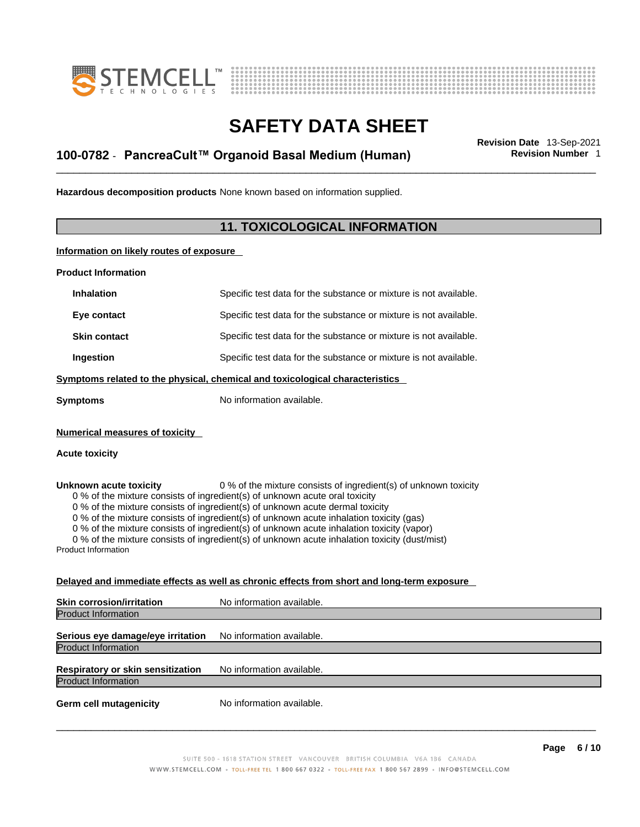



## \_\_\_\_\_\_\_\_\_\_\_\_\_\_\_\_\_\_\_\_\_\_\_\_\_\_\_\_\_\_\_\_\_\_\_\_\_\_\_\_\_\_\_\_\_\_\_\_\_\_\_\_\_\_\_\_\_\_\_\_\_\_\_\_\_\_\_\_\_\_\_\_\_\_\_\_\_\_\_\_\_\_\_\_\_\_\_\_\_\_\_\_\_ **Revision Date** 13-Sep-2021 **100-0782** - **PancreaCult™ Organoid Basal Medium (Human) Revision Number** 1

**Hazardous decomposition products** None known based on information supplied.

### **11. TOXICOLOGICAL INFORMATION**

**Information on likely routes of exposure**

**Product Information**

| <b>Inhalation</b>                                                                                                                                                                                                                                                                                                                                                                                                                                                                                                                                                                 | Specific test data for the substance or mixture is not available. |  |
|-----------------------------------------------------------------------------------------------------------------------------------------------------------------------------------------------------------------------------------------------------------------------------------------------------------------------------------------------------------------------------------------------------------------------------------------------------------------------------------------------------------------------------------------------------------------------------------|-------------------------------------------------------------------|--|
| Eye contact                                                                                                                                                                                                                                                                                                                                                                                                                                                                                                                                                                       | Specific test data for the substance or mixture is not available. |  |
| <b>Skin contact</b>                                                                                                                                                                                                                                                                                                                                                                                                                                                                                                                                                               | Specific test data for the substance or mixture is not available. |  |
| Ingestion                                                                                                                                                                                                                                                                                                                                                                                                                                                                                                                                                                         | Specific test data for the substance or mixture is not available. |  |
| Symptoms related to the physical, chemical and toxicological characteristics                                                                                                                                                                                                                                                                                                                                                                                                                                                                                                      |                                                                   |  |
| Svmptoms                                                                                                                                                                                                                                                                                                                                                                                                                                                                                                                                                                          | No information available.                                         |  |
| <b>Numerical measures of toxicity</b><br><b>Acute toxicity</b>                                                                                                                                                                                                                                                                                                                                                                                                                                                                                                                    |                                                                   |  |
| 0 % of the mixture consists of ingredient(s) of unknown toxicity<br>Unknown acute toxicity<br>0 % of the mixture consists of ingredient(s) of unknown acute oral toxicity<br>0 % of the mixture consists of ingredient(s) of unknown acute dermal toxicity<br>0 % of the mixture consists of ingredient(s) of unknown acute inhalation toxicity (gas)<br>0 % of the mixture consists of ingredient(s) of unknown acute inhalation toxicity (vapor)<br>0 % of the mixture consists of ingredient(s) of unknown acute inhalation toxicity (dust/mist)<br><b>Product Information</b> |                                                                   |  |

### **Delayed and immediate effects as well as chronic effects from short and long-term exposure**

| <b>Skin corrosion/irritation</b>                                | No information available. |
|-----------------------------------------------------------------|---------------------------|
| <b>Product Information</b>                                      |                           |
| Serious eye damage/eye irritation<br><b>Product Information</b> | No information available. |
| Respiratory or skin sensitization<br><b>Product Information</b> | No information available. |
| <b>Germ cell mutagenicity</b>                                   | No information available. |
|                                                                 |                           |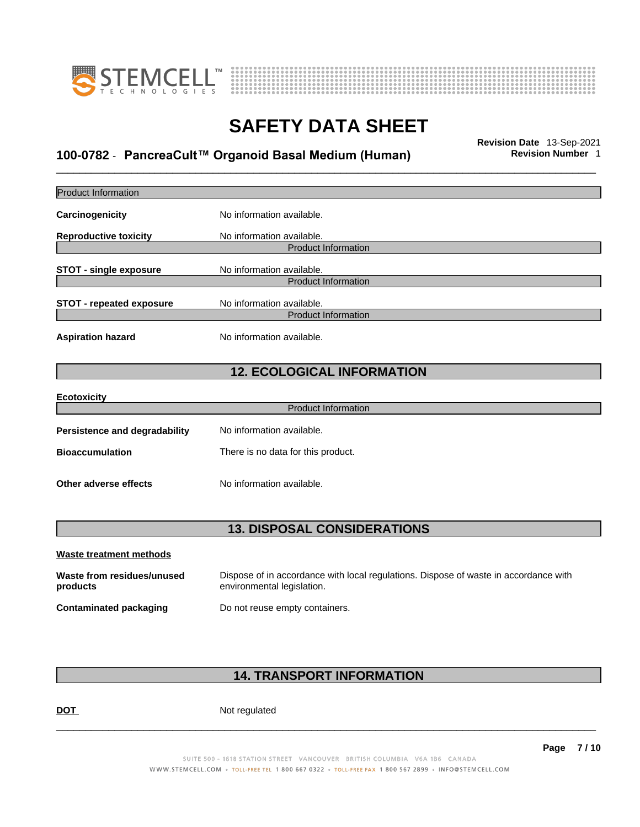



## \_\_\_\_\_\_\_\_\_\_\_\_\_\_\_\_\_\_\_\_\_\_\_\_\_\_\_\_\_\_\_\_\_\_\_\_\_\_\_\_\_\_\_\_\_\_\_\_\_\_\_\_\_\_\_\_\_\_\_\_\_\_\_\_\_\_\_\_\_\_\_\_\_\_\_\_\_\_\_\_\_\_\_\_\_\_\_\_\_\_\_\_\_ **Revision Date** 13-Sep-2021 **100-0782** - **PancreaCult™ Organoid Basal Medium (Human) Revision Number** 1

| <b>Product Information</b>             |                                                                                                                    |  |
|----------------------------------------|--------------------------------------------------------------------------------------------------------------------|--|
| Carcinogenicity                        | No information available.                                                                                          |  |
| <b>Reproductive toxicity</b>           | No information available.<br><b>Product Information</b>                                                            |  |
| <b>STOT - single exposure</b>          | No information available.<br><b>Product Information</b>                                                            |  |
| <b>STOT - repeated exposure</b>        | No information available.<br><b>Product Information</b>                                                            |  |
| <b>Aspiration hazard</b>               | No information available.                                                                                          |  |
|                                        | <b>12. ECOLOGICAL INFORMATION</b>                                                                                  |  |
| <b>Ecotoxicity</b>                     |                                                                                                                    |  |
|                                        | <b>Product Information</b>                                                                                         |  |
| Persistence and degradability          | No information available.                                                                                          |  |
| <b>Bioaccumulation</b>                 | There is no data for this product.                                                                                 |  |
| Other adverse effects                  | No information available.                                                                                          |  |
| <b>13. DISPOSAL CONSIDERATIONS</b>     |                                                                                                                    |  |
| <b>Waste treatment methods</b>         |                                                                                                                    |  |
| Waste from residues/unused<br>products | Dispose of in accordance with local regulations. Dispose of waste in accordance with<br>environmental legislation. |  |
| <b>Contaminated packaging</b>          | Do not reuse empty containers.                                                                                     |  |
|                                        |                                                                                                                    |  |

### **14. TRANSPORT INFORMATION**

DOT Not regulated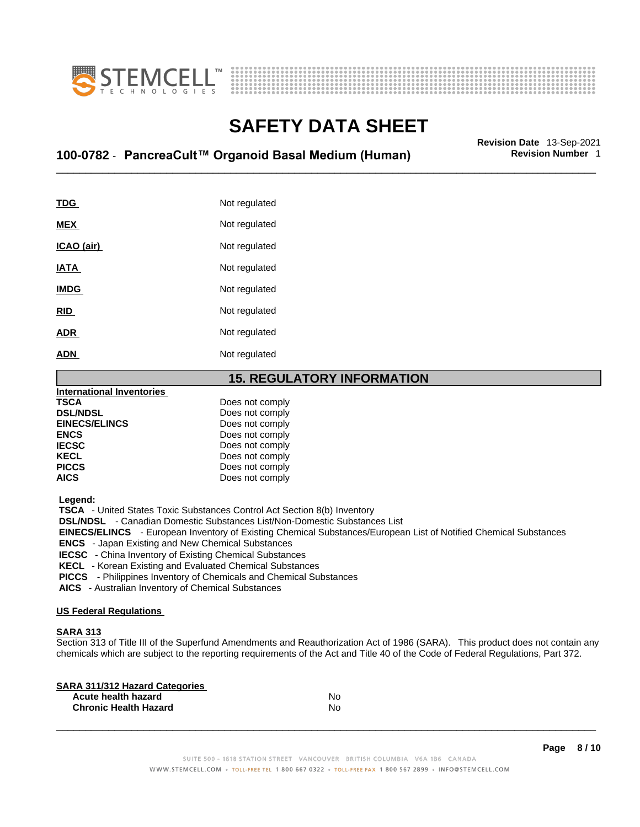



## \_\_\_\_\_\_\_\_\_\_\_\_\_\_\_\_\_\_\_\_\_\_\_\_\_\_\_\_\_\_\_\_\_\_\_\_\_\_\_\_\_\_\_\_\_\_\_\_\_\_\_\_\_\_\_\_\_\_\_\_\_\_\_\_\_\_\_\_\_\_\_\_\_\_\_\_\_\_\_\_\_\_\_\_\_\_\_\_\_\_\_\_\_ **Revision Date** 13-Sep-2021 **100-0782** - **PancreaCult™ Organoid Basal Medium (Human) Revision Number** 1

| TDG         | Not regulated |
|-------------|---------------|
| <b>MEX</b>  | Not regulated |
| ICAO (air)  | Not regulated |
| <b>IATA</b> | Not regulated |
| <b>IMDG</b> | Not regulated |
| <b>RID</b>  | Not regulated |
| <b>ADR</b>  | Not regulated |
| <b>ADN</b>  | Not regulated |
|             |               |

### **15. REGULATORY INFORMATION**

| <b>International Inventories</b> |                 |  |
|----------------------------------|-----------------|--|
| <b>TSCA</b>                      | Does not comply |  |
| <b>DSL/NDSL</b>                  | Does not comply |  |
| <b>EINECS/ELINCS</b>             | Does not comply |  |
| <b>ENCS</b>                      | Does not comply |  |
| <b>IECSC</b>                     | Does not comply |  |
| <b>KECL</b>                      | Does not comply |  |
| <b>PICCS</b>                     | Does not comply |  |
| <b>AICS</b>                      | Does not comply |  |
|                                  |                 |  |

 **Legend:** 

 **TSCA** - United States Toxic Substances Control Act Section 8(b) Inventory

 **DSL/NDSL** - Canadian Domestic Substances List/Non-Domestic Substances List

 **EINECS/ELINCS** - European Inventory of Existing Chemical Substances/European List of Notified Chemical Substances

 **ENCS** - Japan Existing and New Chemical Substances

 **IECSC** - China Inventory of Existing Chemical Substances

 **KECL** - Korean Existing and Evaluated Chemical Substances

 **PICCS** - Philippines Inventory of Chemicals and Chemical Substances

 **AICS** - Australian Inventory of Chemical Substances

#### **US Federal Regulations**

#### **SARA 313**

Section 313 of Title III of the Superfund Amendments and Reauthorization Act of 1986 (SARA). This product does not contain any chemicals which are subject to the reporting requirements of the Act and Title 40 of the Code of Federal Regulations, Part 372.

| No |  |
|----|--|
| No |  |
|    |  |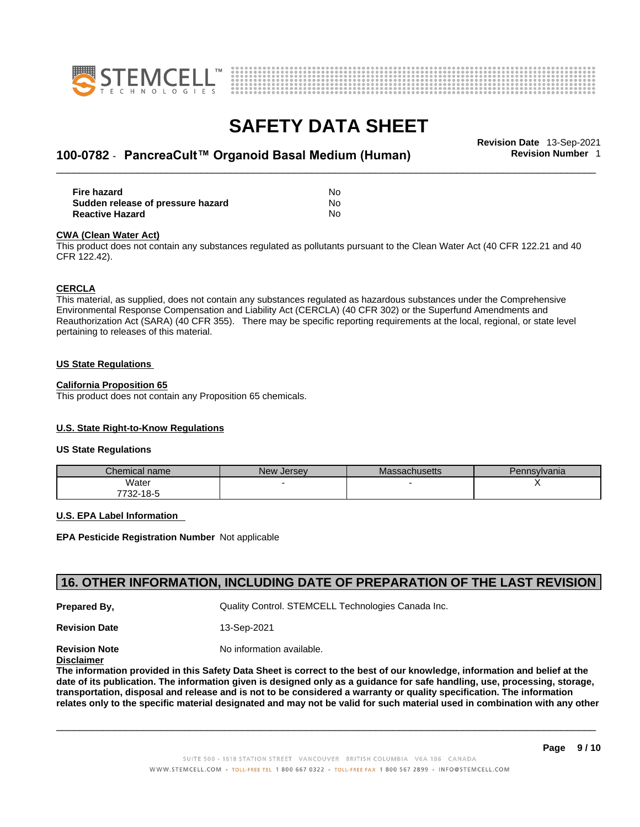



## \_\_\_\_\_\_\_\_\_\_\_\_\_\_\_\_\_\_\_\_\_\_\_\_\_\_\_\_\_\_\_\_\_\_\_\_\_\_\_\_\_\_\_\_\_\_\_\_\_\_\_\_\_\_\_\_\_\_\_\_\_\_\_\_\_\_\_\_\_\_\_\_\_\_\_\_\_\_\_\_\_\_\_\_\_\_\_\_\_\_\_\_\_ **Revision Date** 13-Sep-2021 **100-0782** - **PancreaCult™ Organoid Basal Medium (Human) Revision Number** 1

| <b>Fire hazard</b>                | No |
|-----------------------------------|----|
| Sudden release of pressure hazard | No |
| <b>Reactive Hazard</b>            | N٥ |

#### **CWA** (Clean Water Act)

This product does not contain any substances regulated as pollutants pursuant to the Clean Water Act (40 CFR 122.21 and 40 CFR 122.42).

#### **CERCLA**

This material, as supplied, does not contain any substances regulated as hazardous substances under the Comprehensive Environmental Response Compensation and Liability Act (CERCLA) (40 CFR 302) or the Superfund Amendments and Reauthorization Act (SARA) (40 CFR 355). There may be specific reporting requirements at the local, regional, or state level pertaining to releases of this material.

#### **US State Regulations**

#### **California Proposition 65**

This product does not contain any Proposition 65 chemicals.

#### **U.S. State Right-to-Know Regulations**

#### **US State Regulations**

| Chemical name | <b>New Jersey</b> | <b>Massachusetts</b> | Pennsylvania |
|---------------|-------------------|----------------------|--------------|
| Water         |                   |                      |              |
| 7732-18-5     |                   |                      |              |

#### **U.S. EPA Label Information**

**EPA Pesticide Registration Number** Not applicable

### **16. OTHER INFORMATION, INCLUDING DATE OF PREPARATION OF THE LAST REVISION**

**Prepared By, State Control. STEMCELL Technologies Canada Inc.** Cuality Control. STEMCELL Technologies Canada Inc.

**Revision Date** 13-Sep-2021

**Revision Note** Noinformation available.

### **Disclaimer**

The information provided in this Safety Data Sheet is correct to the best of our knowledge, information and belief at the date of its publication. The information given is designed only as a guidance for safe handling, use, processing, storage, transportation, disposal and release and is not to be considered a warranty or quality specification. The information relates only to the specific material designated and may not be valid for such material used in combination with any other